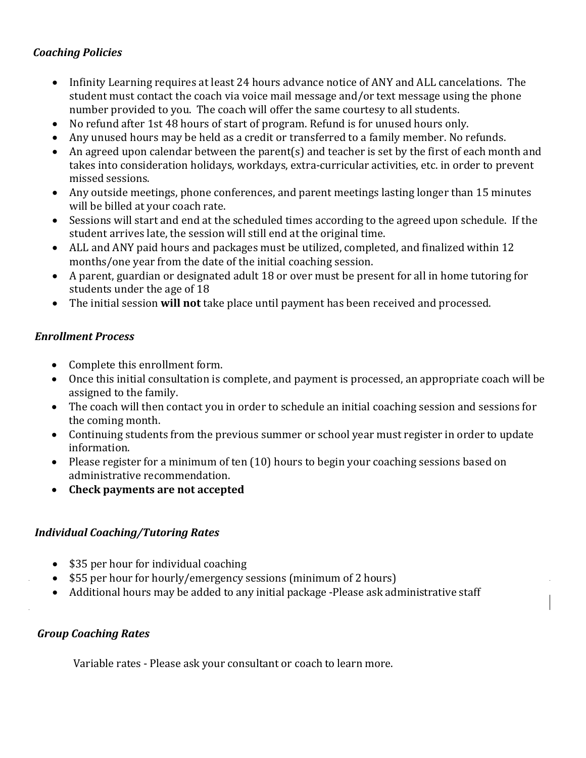### *Coaching Policies*

- Infinity Learning requires at least 24 hours advance notice of ANY and ALL cancelations. The student must contact the coach via voice mail message and/or text message using the phone number provided to you. The coach will offer the same courtesy to all students.
- No refund after 1st 48 hours of start of program. Refund is for unused hours only.
- Any unused hours may be held as a credit or transferred to a family member. No refunds.
- An agreed upon calendar between the parent(s) and teacher is set by the first of each month and takes into consideration holidays, workdays, extra-curricular activities, etc. in order to prevent missed sessions.
- Any outside meetings, phone conferences, and parent meetings lasting longer than 15 minutes will be billed at your coach rate.
- Sessions will start and end at the scheduled times according to the agreed upon schedule. If the student arrives late, the session will still end at the original time.
- ALL and ANY paid hours and packages must be utilized, completed, and finalized within 12 months/one year from the date of the initial coaching session.
- A parent, guardian or designated adult 18 or over must be present for all in home tutoring for students under the age of 18
- The initial session **will not** take place until payment has been received and processed.

### *Enrollment Process*

- Complete this enrollment form.
- Once this initial consultation is complete, and payment is processed, an appropriate coach will be assigned to the family.
- The coach will then contact you in order to schedule an initial coaching session and sessions for the coming month.
- Continuing students from the previous summer or school year must register in order to update information.
- Please register for a minimum of ten (10) hours to begin your coaching sessions based on administrative recommendation.
- **Check payments are not accepted**

### *Individual Coaching/Tutoring Rates*

- \$35 per hour for individual coaching
- \$55 per hour for hourly/emergency sessions (minimum of 2 hours)
- Additional hours may be added to any initial package -Please ask administrative staff

### *Group Coaching Rates*

Variable rates - Please ask your consultant or coach to learn more.